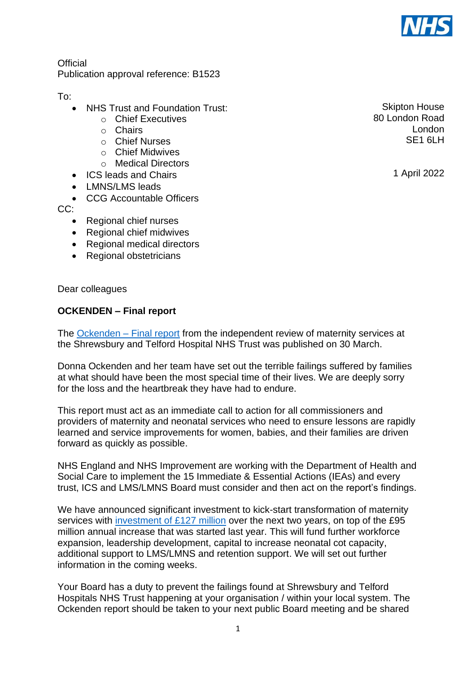

**Official** Publication approval reference: B1523

To:

- NHS Trust and Foundation Trust:
	- o Chief Executives
	- o Chairs
	- o Chief Nurses
	- o Chief Midwives
	- o Medical Directors
- ICS leads and Chairs
- LMNS/LMS leads
- CCG Accountable Officers
- CC:
	- Regional chief nurses
	- Regional chief midwives
	- Regional medical directors
	- Regional obstetricians

Dear colleagues

## **OCKENDEN – Final report**

The [Ockenden –](https://www.ockendenmaternityreview.org.uk/wp-content/uploads/2022/03/FINAL_INDEPENDENT_MATERNITY_REVIEW_OF_MATERNITY_SERVICES_REPORT.pdf) Final report from the independent review of maternity services at the Shrewsbury and Telford Hospital NHS Trust was published on 30 March.

Donna Ockenden and her team have set out the terrible failings suffered by families at what should have been the most special time of their lives. We are deeply sorry for the loss and the heartbreak they have had to endure.

This report must act as an immediate call to action for all commissioners and providers of maternity and neonatal services who need to ensure lessons are rapidly learned and service improvements for women, babies, and their families are driven forward as quickly as possible.

NHS England and NHS Improvement are working with the Department of Health and Social Care to implement the 15 Immediate & Essential Actions (IEAs) and every trust, ICS and LMS/LMNS Board must consider and then act on the report's findings.

We have announced significant investment to kick-start transformation of maternity services with [investment of £127 million](https://www.england.nhs.uk/2022/03/nhs-announces-127m-maternity-boost-for-patients-and-families/) over the next two years, on top of the £95 million annual increase that was started last year. This will fund further workforce expansion, leadership development, capital to increase neonatal cot capacity, additional support to LMS/LMNS and retention support. We will set out further information in the coming weeks.

Your Board has a duty to prevent the failings found at Shrewsbury and Telford Hospitals NHS Trust happening at your organisation / within your local system. The Ockenden report should be taken to your next public Board meeting and be shared

Skipton House 80 London Road London SE<sub>1</sub> 6LH

1 April 2022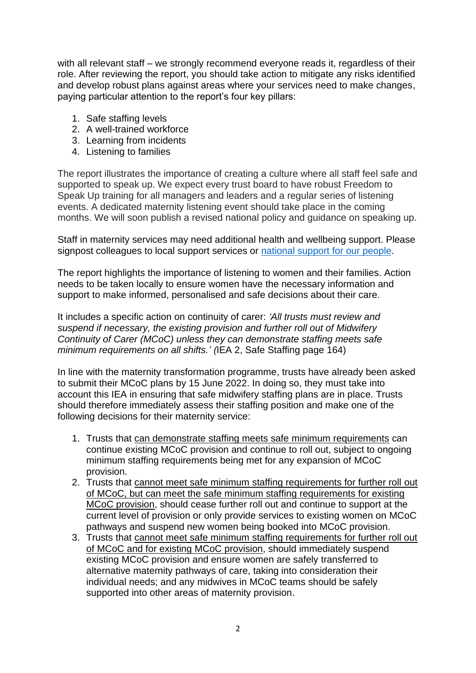with all relevant staff – we strongly recommend everyone reads it, regardless of their role. After reviewing the report, you should take action to mitigate any risks identified and develop robust plans against areas where your services need to make changes, paying particular attention to the report's four key pillars:

- 1. Safe staffing levels
- 2. A well-trained workforce
- 3. Learning from incidents
- 4. Listening to families

The report illustrates the importance of creating a culture where all staff feel safe and supported to speak up. We expect every trust board to have robust Freedom to Speak Up training for all managers and leaders and a regular series of listening events. A dedicated maternity listening event should take place in the coming months. We will soon publish a revised national policy and guidance on speaking up.

Staff in maternity services may need additional health and wellbeing support. Please signpost colleagues to local support services or [national support](https://www.england.nhs.uk/supporting-our-nhs-people/support-now/) for our people.

The report highlights the importance of listening to women and their families. Action needs to be taken locally to ensure women have the necessary information and support to make informed, personalised and safe decisions about their care.

It includes a specific action on continuity of carer: *'All trusts must review and suspend if necessary, the existing provision and further roll out of Midwifery Continuity of Carer (MCoC) unless they can demonstrate staffing meets safe minimum requirements on all shifts.' (*IEA 2, Safe Staffing page 164)

In line with the maternity transformation programme, trusts have already been asked to submit their MCoC plans by 15 June 2022. In doing so, they must take into account this IEA in ensuring that safe midwifery staffing plans are in place. Trusts should therefore immediately assess their staffing position and make one of the following decisions for their maternity service:

- 1. Trusts that can demonstrate staffing meets safe minimum requirements can continue existing MCoC provision and continue to roll out, subject to ongoing minimum staffing requirements being met for any expansion of MCoC provision.
- 2. Trusts that cannot meet safe minimum staffing requirements for further roll out of MCoC, but can meet the safe minimum staffing requirements for existing MCoC provision, should cease further roll out and continue to support at the current level of provision or only provide services to existing women on MCoC pathways and suspend new women being booked into MCoC provision.
- 3. Trusts that cannot meet safe minimum staffing requirements for further roll out of MCoC and for existing MCoC provision, should immediately suspend existing MCoC provision and ensure women are safely transferred to alternative maternity pathways of care, taking into consideration their individual needs; and any midwives in MCoC teams should be safely supported into other areas of maternity provision.